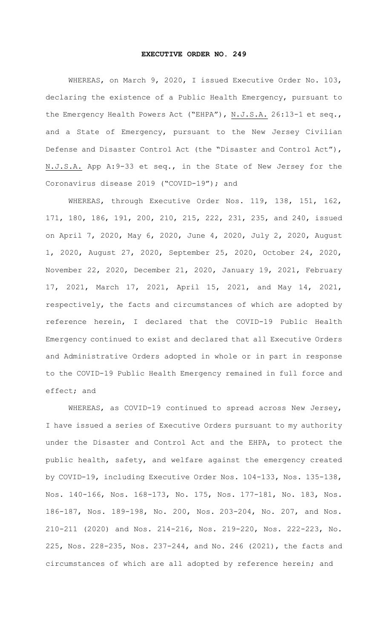## **EXECUTIVE ORDER NO. 249**

WHEREAS, on March 9, 2020, I issued Executive Order No. 103, declaring the existence of a Public Health Emergency, pursuant to the Emergency Health Powers Act ("EHPA"), N.J.S.A. 26:13-1 et seq., and a State of Emergency, pursuant to the New Jersey Civilian Defense and Disaster Control Act (the "Disaster and Control Act"), N.J.S.A. App A:9-33 et seq., in the State of New Jersey for the Coronavirus disease 2019 ("COVID-19"); and

WHEREAS, through Executive Order Nos. 119, 138, 151, 162, 171, 180, 186, 191, 200, 210, 215, 222, 231, 235, and 240, issued on April 7, 2020, May 6, 2020, June 4, 2020, July 2, 2020, August 1, 2020, August 27, 2020, September 25, 2020, October 24, 2020, November 22, 2020, December 21, 2020, January 19, 2021, February 17, 2021, March 17, 2021, April 15, 2021, and May 14, 2021, respectively, the facts and circumstances of which are adopted by reference herein, I declared that the COVID-19 Public Health Emergency continued to exist and declared that all Executive Orders and Administrative Orders adopted in whole or in part in response to the COVID-19 Public Health Emergency remained in full force and effect; and

WHEREAS, as COVID-19 continued to spread across New Jersey, I have issued a series of Executive Orders pursuant to my authority under the Disaster and Control Act and the EHPA, to protect the public health, safety, and welfare against the emergency created by COVID-19, including Executive Order Nos. 104-133, Nos. 135-138, Nos. 140-166, Nos. 168-173, No. 175, Nos. 177-181, No. 183, Nos. 186-187, Nos. 189-198, No. 200, Nos. 203-204, No. 207, and Nos. 210-211 (2020) and Nos. 214-216, Nos. 219-220, Nos. 222-223, No. 225, Nos. 228-235, Nos. 237-244, and No. 246 (2021), the facts and circumstances of which are all adopted by reference herein; and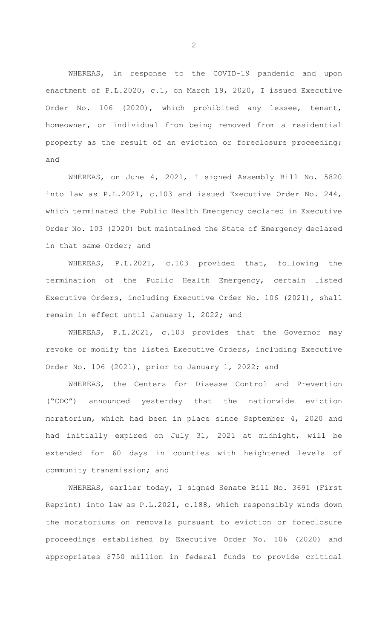WHEREAS, in response to the COVID-19 pandemic and upon enactment of P.L.2020, c.1, on March 19, 2020, I issued Executive Order No. 106 (2020), which prohibited any lessee, tenant, homeowner, or individual from being removed from a residential property as the result of an eviction or foreclosure proceeding; and

WHEREAS, on June 4, 2021, I signed Assembly Bill No. 5820 into law as P.L.2021, c.103 and issued Executive Order No. 244, which terminated the Public Health Emergency declared in Executive Order No. 103 (2020) but maintained the State of Emergency declared in that same Order; and

WHEREAS, P.L.2021, c.103 provided that, following the termination of the Public Health Emergency, certain listed Executive Orders, including Executive Order No. 106 (2021), shall remain in effect until January 1, 2022; and

WHEREAS, P.L.2021, c.103 provides that the Governor may revoke or modify the listed Executive Orders, including Executive Order No. 106 (2021), prior to January 1, 2022; and

WHEREAS, the Centers for Disease Control and Prevention ("CDC") announced yesterday that the nationwide eviction moratorium, which had been in place since September 4, 2020 and had initially expired on July 31, 2021 at midnight, will be extended for 60 days in counties with heightened levels of community transmission; and

WHEREAS, earlier today, I signed Senate Bill No. 3691 (First Reprint) into law as P.L.2021, c.188, which responsibly winds down the moratoriums on removals pursuant to eviction or foreclosure proceedings established by Executive Order No. 106 (2020) and appropriates \$750 million in federal funds to provide critical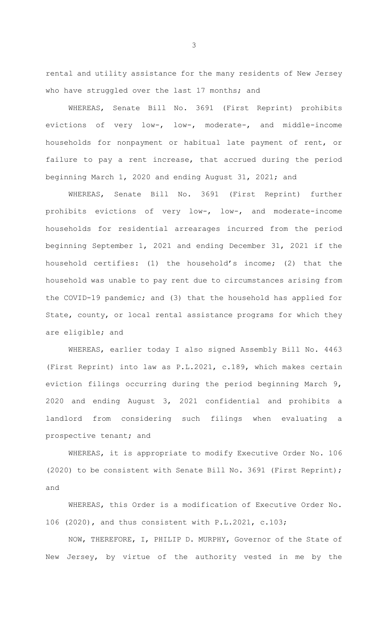rental and utility assistance for the many residents of New Jersey who have struggled over the last 17 months; and

WHEREAS, Senate Bill No. 3691 (First Reprint) prohibits evictions of very low-, low-, moderate-, and middle-income households for nonpayment or habitual late payment of rent, or failure to pay a rent increase, that accrued during the period beginning March 1, 2020 and ending August 31, 2021; and

WHEREAS, Senate Bill No. 3691 (First Reprint) further prohibits evictions of very low-, low-, and moderate-income households for residential arrearages incurred from the period beginning September 1, 2021 and ending December 31, 2021 if the household certifies: (1) the household's income; (2) that the household was unable to pay rent due to circumstances arising from the COVID-19 pandemic; and (3) that the household has applied for State, county, or local rental assistance programs for which they are eligible; and

WHEREAS, earlier today I also signed Assembly Bill No. 4463 (First Reprint) into law as P.L.2021, c.189, which makes certain eviction filings occurring during the period beginning March 9, 2020 and ending August 3, 2021 confidential and prohibits a landlord from considering such filings when evaluating a prospective tenant; and

WHEREAS, it is appropriate to modify Executive Order No. 106 (2020) to be consistent with Senate Bill No. 3691 (First Reprint); and

WHEREAS, this Order is a modification of Executive Order No. 106 (2020), and thus consistent with P.L.2021, c.103;

NOW, THEREFORE, I, PHILIP D. MURPHY, Governor of the State of New Jersey, by virtue of the authority vested in me by the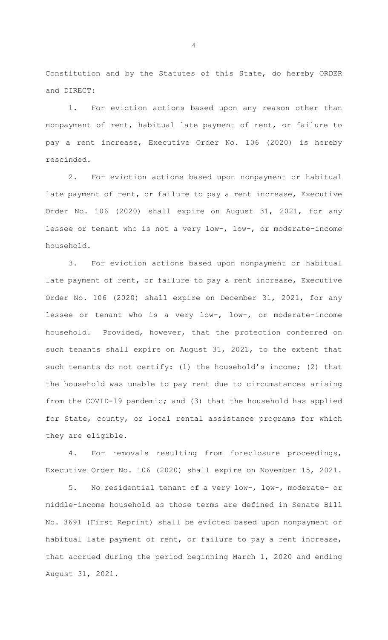Constitution and by the Statutes of this State, do hereby ORDER and DIRECT:

1. For eviction actions based upon any reason other than nonpayment of rent, habitual late payment of rent, or failure to pay a rent increase, Executive Order No. 106 (2020) is hereby rescinded.

2. For eviction actions based upon nonpayment or habitual late payment of rent, or failure to pay a rent increase, Executive Order No. 106 (2020) shall expire on August 31, 2021, for any lessee or tenant who is not a very low-, low-, or moderate-income household.

3. For eviction actions based upon nonpayment or habitual late payment of rent, or failure to pay a rent increase, Executive Order No. 106 (2020) shall expire on December 31, 2021, for any lessee or tenant who is a very low-, low-, or moderate-income household. Provided, however, that the protection conferred on such tenants shall expire on August 31, 2021, to the extent that such tenants do not certify: (1) the household's income; (2) that the household was unable to pay rent due to circumstances arising from the COVID-19 pandemic; and (3) that the household has applied for State, county, or local rental assistance programs for which they are eligible.

4. For removals resulting from foreclosure proceedings, Executive Order No. 106 (2020) shall expire on November 15, 2021.

5. No residential tenant of a very low-, low-, moderate- or middle-income household as those terms are defined in Senate Bill No. 3691 (First Reprint) shall be evicted based upon nonpayment or habitual late payment of rent, or failure to pay a rent increase, that accrued during the period beginning March 1, 2020 and ending August 31, 2021.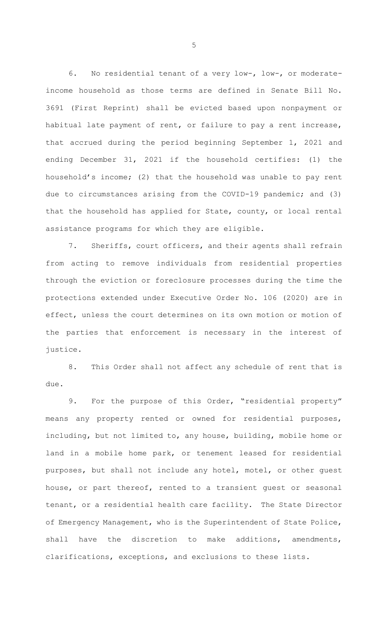6. No residential tenant of a very low-, low-, or moderateincome household as those terms are defined in Senate Bill No. 3691 (First Reprint) shall be evicted based upon nonpayment or habitual late payment of rent, or failure to pay a rent increase, that accrued during the period beginning September 1, 2021 and ending December 31, 2021 if the household certifies: (1) the household's income; (2) that the household was unable to pay rent due to circumstances arising from the COVID-19 pandemic; and (3) that the household has applied for State, county, or local rental assistance programs for which they are eligible.

7. Sheriffs, court officers, and their agents shall refrain from acting to remove individuals from residential properties through the eviction or foreclosure processes during the time the protections extended under Executive Order No. 106 (2020) are in effect, unless the court determines on its own motion or motion of the parties that enforcement is necessary in the interest of justice.

8. This Order shall not affect any schedule of rent that is due.

9. For the purpose of this Order, "residential property" means any property rented or owned for residential purposes, including, but not limited to, any house, building, mobile home or land in a mobile home park, or tenement leased for residential purposes, but shall not include any hotel, motel, or other guest house, or part thereof, rented to a transient guest or seasonal tenant, or a residential health care facility. The State Director of Emergency Management, who is the Superintendent of State Police, shall have the discretion to make additions, amendments, clarifications, exceptions, and exclusions to these lists.